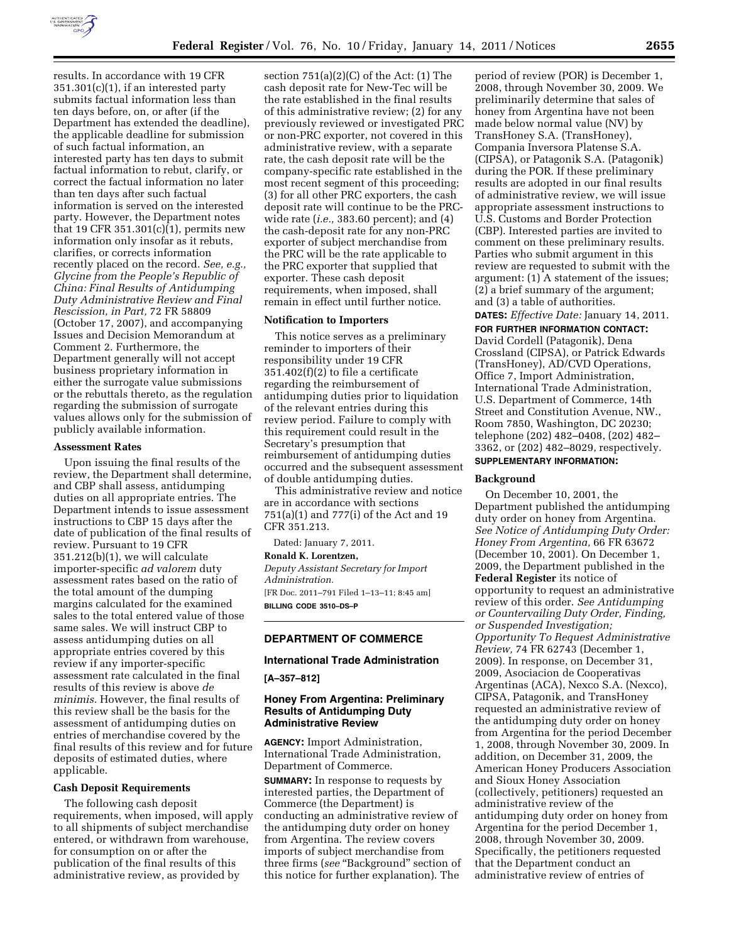

results. In accordance with 19 CFR  $351.301(c)(1)$ , if an interested party submits factual information less than ten days before, on, or after (if the Department has extended the deadline), the applicable deadline for submission of such factual information, an interested party has ten days to submit factual information to rebut, clarify, or correct the factual information no later than ten days after such factual information is served on the interested party. However, the Department notes that 19 CFR 351.301 $(c)(1)$ , permits new information only insofar as it rebuts, clarifies, or corrects information recently placed on the record. *See, e.g., Glycine from the People's Republic of China: Final Results of Antidumping Duty Administrative Review and Final Rescission, in Part,* 72 FR 58809 (October 17, 2007), and accompanying Issues and Decision Memorandum at Comment 2. Furthermore, the Department generally will not accept business proprietary information in either the surrogate value submissions or the rebuttals thereto, as the regulation regarding the submission of surrogate values allows only for the submission of publicly available information.

#### **Assessment Rates**

Upon issuing the final results of the review, the Department shall determine, and CBP shall assess, antidumping duties on all appropriate entries. The Department intends to issue assessment instructions to CBP 15 days after the date of publication of the final results of review. Pursuant to 19 CFR 351.212(b)(1), we will calculate importer-specific *ad valorem* duty assessment rates based on the ratio of the total amount of the dumping margins calculated for the examined sales to the total entered value of those same sales. We will instruct CBP to assess antidumping duties on all appropriate entries covered by this review if any importer-specific assessment rate calculated in the final results of this review is above *de minimis.* However, the final results of this review shall be the basis for the assessment of antidumping duties on entries of merchandise covered by the final results of this review and for future deposits of estimated duties, where applicable.

### **Cash Deposit Requirements**

The following cash deposit requirements, when imposed, will apply to all shipments of subject merchandise entered, or withdrawn from warehouse, for consumption on or after the publication of the final results of this administrative review, as provided by

section  $751(a)(2)(C)$  of the Act:  $(1)$  The cash deposit rate for New-Tec will be the rate established in the final results of this administrative review; (2) for any previously reviewed or investigated PRC or non-PRC exporter, not covered in this administrative review, with a separate rate, the cash deposit rate will be the company-specific rate established in the most recent segment of this proceeding; (3) for all other PRC exporters, the cash deposit rate will continue to be the PRCwide rate (*i.e.,* 383.60 percent); and (4) the cash-deposit rate for any non-PRC exporter of subject merchandise from the PRC will be the rate applicable to the PRC exporter that supplied that exporter. These cash deposit requirements, when imposed, shall remain in effect until further notice.

### **Notification to Importers**

This notice serves as a preliminary reminder to importers of their responsibility under 19 CFR 351.402(f)(2) to file a certificate regarding the reimbursement of antidumping duties prior to liquidation of the relevant entries during this review period. Failure to comply with this requirement could result in the Secretary's presumption that reimbursement of antidumping duties occurred and the subsequent assessment of double antidumping duties.

This administrative review and notice are in accordance with sections 751(a)(1) and 777(i) of the Act and 19 CFR 351.213.

Dated: January 7, 2011.

**Ronald K. Lorentzen,** 

*Deputy Assistant Secretary for Import Administration.*  [FR Doc. 2011–791 Filed 1–13–11; 8:45 am]

**BILLING CODE 3510–DS–P** 

## **DEPARTMENT OF COMMERCE**

## **International Trade Administration**

**[A–357–812]** 

## **Honey From Argentina: Preliminary Results of Antidumping Duty Administrative Review**

**AGENCY:** Import Administration, International Trade Administration, Department of Commerce.

**SUMMARY:** In response to requests by interested parties, the Department of Commerce (the Department) is conducting an administrative review of the antidumping duty order on honey from Argentina. The review covers imports of subject merchandise from three firms (*see* ''Background'' section of this notice for further explanation). The

period of review (POR) is December 1, 2008, through November 30, 2009. We preliminarily determine that sales of honey from Argentina have not been made below normal value (NV) by TransHoney S.A. (TransHoney), Compania Inversora Platense S.A. (CIPSA), or Patagonik S.A. (Patagonik) during the POR. If these preliminary results are adopted in our final results of administrative review, we will issue appropriate assessment instructions to U.S. Customs and Border Protection (CBP). Interested parties are invited to comment on these preliminary results. Parties who submit argument in this review are requested to submit with the argument: (1) A statement of the issues; (2) a brief summary of the argument; and (3) a table of authorities. **DATES:** *Effective Date:* January 14, 2011.

**FOR FURTHER INFORMATION CONTACT:**  David Cordell (Patagonik), Dena Crossland (CIPSA), or Patrick Edwards (TransHoney), AD/CVD Operations, Office 7, Import Administration, International Trade Administration, U.S. Department of Commerce, 14th Street and Constitution Avenue, NW., Room 7850, Washington, DC 20230; telephone (202) 482–0408, (202) 482– 3362, or (202) 482–8029, respectively.

# **SUPPLEMENTARY INFORMATION:**

#### **Background**

On December 10, 2001, the Department published the antidumping duty order on honey from Argentina. *See Notice of Antidumping Duty Order: Honey From Argentina,* 66 FR 63672 (December 10, 2001). On December 1, 2009, the Department published in the **Federal Register** its notice of opportunity to request an administrative review of this order. *See Antidumping or Countervailing Duty Order, Finding, or Suspended Investigation; Opportunity To Request Administrative Review,* 74 FR 62743 (December 1, 2009). In response, on December 31, 2009, Asociacion de Cooperativas Argentinas (ACA), Nexco S.A. (Nexco), CIPSA, Patagonik, and TransHoney requested an administrative review of the antidumping duty order on honey from Argentina for the period December 1, 2008, through November 30, 2009. In addition, on December 31, 2009, the American Honey Producers Association and Sioux Honey Association (collectively, petitioners) requested an administrative review of the antidumping duty order on honey from Argentina for the period December 1, 2008, through November 30, 2009. Specifically, the petitioners requested that the Department conduct an administrative review of entries of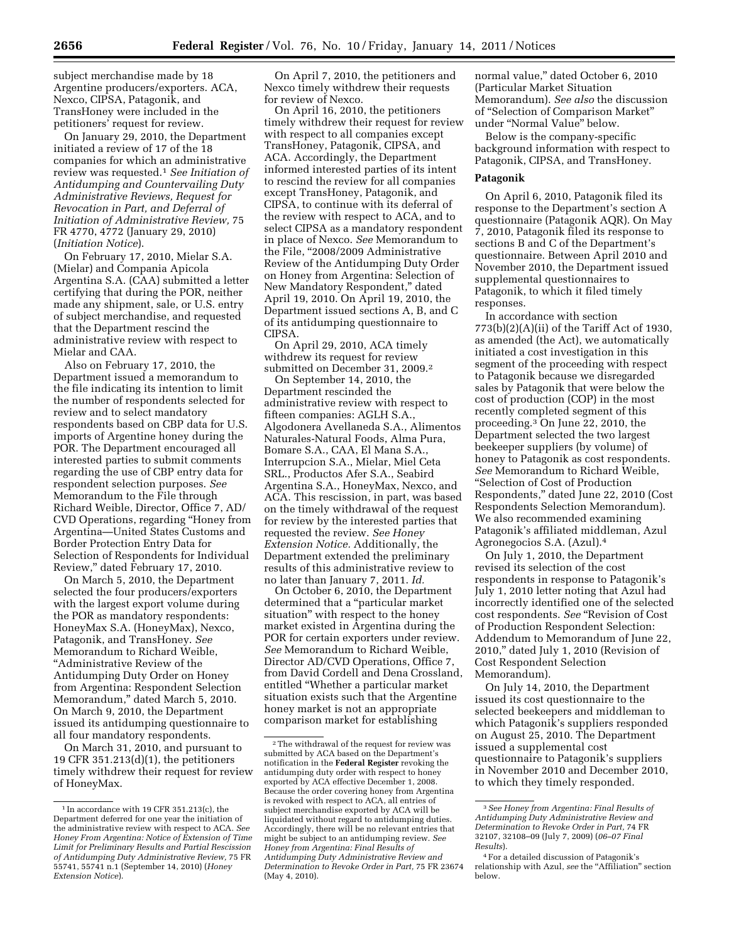subject merchandise made by 18 Argentine producers/exporters. ACA, Nexco, CIPSA, Patagonik, and TransHoney were included in the petitioners' request for review.

On January 29, 2010, the Department initiated a review of 17 of the 18 companies for which an administrative review was requested.1 *See Initiation of Antidumping and Countervailing Duty Administrative Reviews, Request for Revocation in Part, and Deferral of Initiation of Administrative Review,* 75 FR 4770, 4772 (January 29, 2010) (*Initiation Notice*).

On February 17, 2010, Mielar S.A. (Mielar) and Compania Apicola Argentina S.A. (CAA) submitted a letter certifying that during the POR, neither made any shipment, sale, or U.S. entry of subject merchandise, and requested that the Department rescind the administrative review with respect to Mielar and CAA.

Also on February 17, 2010, the Department issued a memorandum to the file indicating its intention to limit the number of respondents selected for review and to select mandatory respondents based on CBP data for U.S. imports of Argentine honey during the POR. The Department encouraged all interested parties to submit comments regarding the use of CBP entry data for respondent selection purposes. *See*  Memorandum to the File through Richard Weible, Director, Office 7, AD/ CVD Operations, regarding ''Honey from Argentina—United States Customs and Border Protection Entry Data for Selection of Respondents for Individual Review,'' dated February 17, 2010.

On March 5, 2010, the Department selected the four producers/exporters with the largest export volume during the POR as mandatory respondents: HoneyMax S.A. (HoneyMax), Nexco, Patagonik, and TransHoney. *See*  Memorandum to Richard Weible, ''Administrative Review of the Antidumping Duty Order on Honey from Argentina: Respondent Selection Memorandum,'' dated March 5, 2010. On March 9, 2010, the Department issued its antidumping questionnaire to all four mandatory respondents.

On March 31, 2010, and pursuant to 19 CFR 351.213(d)(1), the petitioners timely withdrew their request for review of HoneyMax.

On April 7, 2010, the petitioners and Nexco timely withdrew their requests for review of Nexco.

On April 16, 2010, the petitioners timely withdrew their request for review with respect to all companies except TransHoney, Patagonik, CIPSA, and ACA. Accordingly, the Department informed interested parties of its intent to rescind the review for all companies except TransHoney, Patagonik, and CIPSA, to continue with its deferral of the review with respect to ACA, and to select CIPSA as a mandatory respondent in place of Nexco. *See* Memorandum to the File, "2008/2009 Administrative Review of the Antidumping Duty Order on Honey from Argentina: Selection of New Mandatory Respondent,'' dated April 19, 2010. On April 19, 2010, the Department issued sections A, B, and C of its antidumping questionnaire to CIPSA.

On April 29, 2010, ACA timely withdrew its request for review submitted on December 31, 2009.2

On September 14, 2010, the Department rescinded the administrative review with respect to fifteen companies: AGLH S.A., Algodonera Avellaneda S.A., Alimentos Naturales-Natural Foods, Alma Pura, Bomare S.A., CAA, El Mana S.A., Interrupcion S.A., Mielar, Miel Ceta SRL., Productos Afer S.A., Seabird Argentina S.A., HoneyMax, Nexco, and ACA. This rescission, in part, was based on the timely withdrawal of the request for review by the interested parties that requested the review. *See Honey Extension Notice.* Additionally, the Department extended the preliminary results of this administrative review to no later than January 7, 2011. *Id.* 

On October 6, 2010, the Department determined that a ''particular market situation'' with respect to the honey market existed in Argentina during the POR for certain exporters under review. *See* Memorandum to Richard Weible, Director AD/CVD Operations, Office 7, from David Cordell and Dena Crossland, entitled ''Whether a particular market situation exists such that the Argentine honey market is not an appropriate comparison market for establishing

normal value,'' dated October 6, 2010 (Particular Market Situation Memorandum). *See also* the discussion of ''Selection of Comparison Market'' under ''Normal Value'' below.

Below is the company-specific background information with respect to Patagonik, CIPSA, and TransHoney.

#### **Patagonik**

On April 6, 2010, Patagonik filed its response to the Department's section A questionnaire (Patagonik AQR). On May 7, 2010, Patagonik filed its response to sections B and C of the Department's questionnaire. Between April 2010 and November 2010, the Department issued supplemental questionnaires to Patagonik, to which it filed timely responses.

In accordance with section 773(b)(2)(A)(ii) of the Tariff Act of 1930, as amended (the Act), we automatically initiated a cost investigation in this segment of the proceeding with respect to Patagonik because we disregarded sales by Patagonik that were below the cost of production (COP) in the most recently completed segment of this proceeding.3 On June 22, 2010, the Department selected the two largest beekeeper suppliers (by volume) of honey to Patagonik as cost respondents. *See* Memorandum to Richard Weible, ''Selection of Cost of Production Respondents,'' dated June 22, 2010 (Cost Respondents Selection Memorandum). We also recommended examining Patagonik's affiliated middleman, Azul Agronegocios S.A. (Azul).4

On July 1, 2010, the Department revised its selection of the cost respondents in response to Patagonik's July 1, 2010 letter noting that Azul had incorrectly identified one of the selected cost respondents. *See* ''Revision of Cost of Production Respondent Selection: Addendum to Memorandum of June 22, 2010,'' dated July 1, 2010 (Revision of Cost Respondent Selection Memorandum).

On July 14, 2010, the Department issued its cost questionnaire to the selected beekeepers and middleman to which Patagonik's suppliers responded on August 25, 2010. The Department issued a supplemental cost questionnaire to Patagonik's suppliers in November 2010 and December 2010, to which they timely responded.

 $^{\rm 1}$  In accordance with 19 CFR 351.213(c), the Department deferred for one year the initiation of the administrative review with respect to ACA. *See Honey From Argentina: Notice of Extension of Time Limit for Preliminary Results and Partial Rescission of Antidumping Duty Administrative Review,* 75 FR 55741, 55741 n.1 (September 14, 2010) (*Honey Extension Notice*).

<sup>2</sup>The withdrawal of the request for review was submitted by ACA based on the Department's notification in the **Federal Register** revoking the antidumping duty order with respect to honey exported by ACA effective December 1, 2008. Because the order covering honey from Argentina is revoked with respect to ACA, all entries of subject merchandise exported by ACA will be liquidated without regard to antidumping duties. Accordingly, there will be no relevant entries that might be subject to an antidumping review. *See Honey from Argentina: Final Results of Antidumping Duty Administrative Review and Determination to Revoke Order in Part,* 75 FR 23674 (May 4, 2010).

<sup>3</sup>*See Honey from Argentina: Final Results of Antidumping Duty Administrative Review and Determination to Revoke Order in Part,* 74 FR 32107, 32108–09 (July 7, 2009) (*06–07 Final Results*).

<sup>4</sup>For a detailed discussion of Patagonik's relationship with Azul, see the "Affiliation" section below.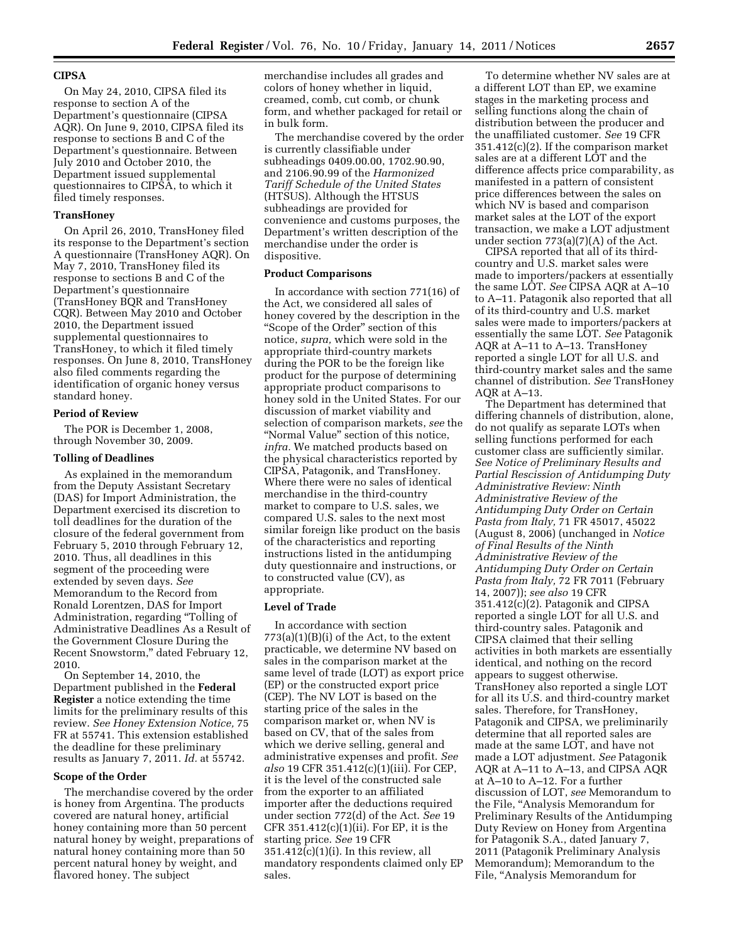# **CIPSA**

On May 24, 2010, CIPSA filed its response to section A of the Department's questionnaire (CIPSA AQR). On June 9, 2010, CIPSA filed its response to sections B and C of the Department's questionnaire. Between July 2010 and October 2010, the Department issued supplemental questionnaires to CIPSA, to which it filed timely responses.

## **TransHoney**

On April 26, 2010, TransHoney filed its response to the Department's section A questionnaire (TransHoney AQR). On May 7, 2010, TransHoney filed its response to sections B and C of the Department's questionnaire (TransHoney BQR and TransHoney CQR). Between May 2010 and October 2010, the Department issued supplemental questionnaires to TransHoney, to which it filed timely responses. On June 8, 2010, TransHoney also filed comments regarding the identification of organic honey versus standard honey.

#### **Period of Review**

The POR is December 1, 2008, through November 30, 2009.

### **Tolling of Deadlines**

As explained in the memorandum from the Deputy Assistant Secretary (DAS) for Import Administration, the Department exercised its discretion to toll deadlines for the duration of the closure of the federal government from February 5, 2010 through February 12, 2010. Thus, all deadlines in this segment of the proceeding were extended by seven days. *See*  Memorandum to the Record from Ronald Lorentzen, DAS for Import Administration, regarding ''Tolling of Administrative Deadlines As a Result of the Government Closure During the Recent Snowstorm,'' dated February 12, 2010.

On September 14, 2010, the Department published in the **Federal Register** a notice extending the time limits for the preliminary results of this review. *See Honey Extension Notice,* 75 FR at 55741. This extension established the deadline for these preliminary results as January 7, 2011. *Id.* at 55742.

#### **Scope of the Order**

The merchandise covered by the order is honey from Argentina. The products covered are natural honey, artificial honey containing more than 50 percent natural honey by weight, preparations of natural honey containing more than 50 percent natural honey by weight, and flavored honey. The subject

merchandise includes all grades and colors of honey whether in liquid, creamed, comb, cut comb, or chunk form, and whether packaged for retail or in bulk form.

The merchandise covered by the order is currently classifiable under subheadings 0409.00.00, 1702.90.90, and 2106.90.99 of the *Harmonized Tariff Schedule of the United States*  (HTSUS). Although the HTSUS subheadings are provided for convenience and customs purposes, the Department's written description of the merchandise under the order is dispositive.

### **Product Comparisons**

In accordance with section 771(16) of the Act, we considered all sales of honey covered by the description in the ''Scope of the Order'' section of this notice, *supra,* which were sold in the appropriate third-country markets during the POR to be the foreign like product for the purpose of determining appropriate product comparisons to honey sold in the United States. For our discussion of market viability and selection of comparison markets, *see* the ''Normal Value'' section of this notice, *infra.* We matched products based on the physical characteristics reported by CIPSA, Patagonik, and TransHoney. Where there were no sales of identical merchandise in the third-country market to compare to U.S. sales, we compared U.S. sales to the next most similar foreign like product on the basis of the characteristics and reporting instructions listed in the antidumping duty questionnaire and instructions, or to constructed value (CV), as appropriate.

#### **Level of Trade**

In accordance with section  $773(a)(1)(B)(i)$  of the Act, to the extent practicable, we determine NV based on sales in the comparison market at the same level of trade (LOT) as export price (EP) or the constructed export price (CEP). The NV LOT is based on the starting price of the sales in the comparison market or, when NV is based on CV, that of the sales from which we derive selling, general and administrative expenses and profit. *See also* 19 CFR 351.412(c)(1)(iii). For CEP, it is the level of the constructed sale from the exporter to an affiliated importer after the deductions required under section 772(d) of the Act. *See* 19 CFR 351.412(c)(1)(ii). For EP, it is the starting price. *See* 19 CFR 351.412(c)(1)(i). In this review, all mandatory respondents claimed only EP sales.

To determine whether NV sales are at a different LOT than EP, we examine stages in the marketing process and selling functions along the chain of distribution between the producer and the unaffiliated customer. *See* 19 CFR 351.412(c)(2). If the comparison market sales are at a different LOT and the difference affects price comparability, as manifested in a pattern of consistent price differences between the sales on which NV is based and comparison market sales at the LOT of the export transaction, we make a LOT adjustment under section 773(a)(7)(A) of the Act.

CIPSA reported that all of its thirdcountry and U.S. market sales were made to importers/packers at essentially the same LOT. *See* CIPSA AQR at A–10 to A–11. Patagonik also reported that all of its third-country and U.S. market sales were made to importers/packers at essentially the same LOT. *See* Patagonik AQR at A–11 to A–13. TransHoney reported a single LOT for all U.S. and third-country market sales and the same channel of distribution. *See* TransHoney AQR at A–13.

The Department has determined that differing channels of distribution, alone, do not qualify as separate LOTs when selling functions performed for each customer class are sufficiently similar. *See Notice of Preliminary Results and Partial Rescission of Antidumping Duty Administrative Review: Ninth Administrative Review of the Antidumping Duty Order on Certain Pasta from Italy,* 71 FR 45017, 45022 (August 8, 2006) (unchanged in *Notice of Final Results of the Ninth Administrative Review of the Antidumping Duty Order on Certain Pasta from Italy,* 72 FR 7011 (February 14, 2007)); *see also* 19 CFR 351.412(c)(2). Patagonik and CIPSA reported a single LOT for all U.S. and third-country sales. Patagonik and CIPSA claimed that their selling activities in both markets are essentially identical, and nothing on the record appears to suggest otherwise. TransHoney also reported a single LOT for all its U.S. and third-country market sales. Therefore, for TransHoney, Patagonik and CIPSA, we preliminarily determine that all reported sales are made at the same LOT, and have not made a LOT adjustment. *See* Patagonik AQR at A–11 to A–13, and CIPSA AQR at A–10 to A–12. For a further discussion of LOT, *see* Memorandum to the File, "Analysis Memorandum for Preliminary Results of the Antidumping Duty Review on Honey from Argentina for Patagonik S.A., dated January 7, 2011 (Patagonik Preliminary Analysis Memorandum); Memorandum to the File, "Analysis Memorandum for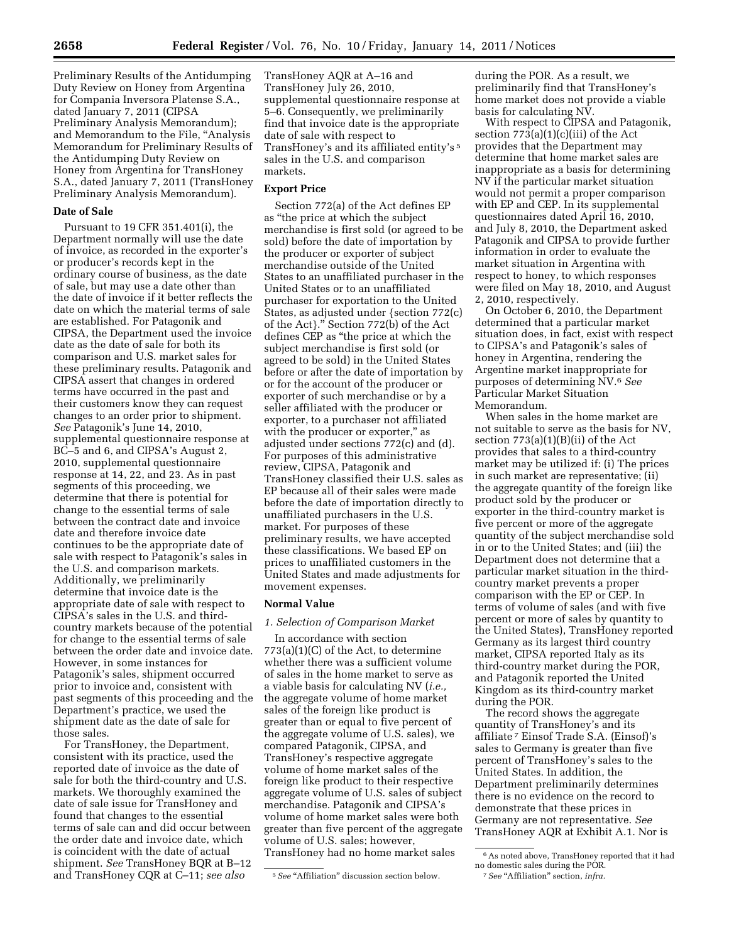Preliminary Results of the Antidumping Duty Review on Honey from Argentina for Compania Inversora Platense S.A., dated January 7, 2011 (CIPSA Preliminary Analysis Memorandum); and Memorandum to the File, ''Analysis Memorandum for Preliminary Results of the Antidumping Duty Review on Honey from Argentina for TransHoney S.A., dated January 7, 2011 (TransHoney Preliminary Analysis Memorandum).

#### **Date of Sale**

Pursuant to 19 CFR 351.401(i), the Department normally will use the date of invoice, as recorded in the exporter's or producer's records kept in the ordinary course of business, as the date of sale, but may use a date other than the date of invoice if it better reflects the date on which the material terms of sale are established. For Patagonik and CIPSA, the Department used the invoice date as the date of sale for both its comparison and U.S. market sales for these preliminary results. Patagonik and CIPSA assert that changes in ordered terms have occurred in the past and their customers know they can request changes to an order prior to shipment. *See* Patagonik's June 14, 2010, supplemental questionnaire response at BC–5 and 6, and CIPSA's August 2, 2010, supplemental questionnaire response at 14, 22, and 23. As in past segments of this proceeding, we determine that there is potential for change to the essential terms of sale between the contract date and invoice date and therefore invoice date continues to be the appropriate date of sale with respect to Patagonik's sales in the U.S. and comparison markets. Additionally, we preliminarily determine that invoice date is the appropriate date of sale with respect to CIPSA's sales in the U.S. and thirdcountry markets because of the potential for change to the essential terms of sale between the order date and invoice date. However, in some instances for Patagonik's sales, shipment occurred prior to invoice and, consistent with past segments of this proceeding and the Department's practice, we used the shipment date as the date of sale for those sales.

For TransHoney, the Department, consistent with its practice, used the reported date of invoice as the date of sale for both the third-country and U.S. markets. We thoroughly examined the date of sale issue for TransHoney and found that changes to the essential terms of sale can and did occur between the order date and invoice date, which is coincident with the date of actual shipment. *See* TransHoney BQR at B–12 and TransHoney CQR at C–11; *see also* 

TransHoney AQR at A–16 and TransHoney July 26, 2010, supplemental questionnaire response at 5–6. Consequently, we preliminarily find that invoice date is the appropriate date of sale with respect to TransHoney's and its affiliated entity's 5 sales in the U.S. and comparison markets.

## **Export Price**

Section 772(a) of the Act defines EP as ''the price at which the subject merchandise is first sold (or agreed to be sold) before the date of importation by the producer or exporter of subject merchandise outside of the United States to an unaffiliated purchaser in the United States or to an unaffiliated purchaser for exportation to the United States, as adjusted under {section 772(c) of the Act}.'' Section 772(b) of the Act defines CEP as ''the price at which the subject merchandise is first sold (or agreed to be sold) in the United States before or after the date of importation by or for the account of the producer or exporter of such merchandise or by a seller affiliated with the producer or exporter, to a purchaser not affiliated with the producer or exporter," as adjusted under sections 772(c) and (d). For purposes of this administrative review, CIPSA, Patagonik and TransHoney classified their U.S. sales as EP because all of their sales were made before the date of importation directly to unaffiliated purchasers in the U.S. market. For purposes of these preliminary results, we have accepted these classifications. We based EP on prices to unaffiliated customers in the United States and made adjustments for movement expenses.

#### **Normal Value**

### *1. Selection of Comparison Market*

In accordance with section 773(a)(1)(C) of the Act, to determine whether there was a sufficient volume of sales in the home market to serve as a viable basis for calculating NV (*i.e.,*  the aggregate volume of home market sales of the foreign like product is greater than or equal to five percent of the aggregate volume of U.S. sales), we compared Patagonik, CIPSA, and TransHoney's respective aggregate volume of home market sales of the foreign like product to their respective aggregate volume of U.S. sales of subject merchandise. Patagonik and CIPSA's volume of home market sales were both greater than five percent of the aggregate volume of U.S. sales; however, TransHoney had no home market sales

during the POR. As a result, we preliminarily find that TransHoney's home market does not provide a viable basis for calculating NV.

With respect to CIPSA and Patagonik, section 773(a)(1)(c)(iii) of the Act provides that the Department may determine that home market sales are inappropriate as a basis for determining NV if the particular market situation would not permit a proper comparison with EP and CEP. In its supplemental questionnaires dated April 16, 2010, and July 8, 2010, the Department asked Patagonik and CIPSA to provide further information in order to evaluate the market situation in Argentina with respect to honey, to which responses were filed on May 18, 2010, and August 2, 2010, respectively.

On October 6, 2010, the Department determined that a particular market situation does, in fact, exist with respect to CIPSA's and Patagonik's sales of honey in Argentina, rendering the Argentine market inappropriate for purposes of determining NV.6 *See*  Particular Market Situation Memorandum.

When sales in the home market are not suitable to serve as the basis for NV, section 773(a)(1)(B)(ii) of the Act provides that sales to a third-country market may be utilized if: (i) The prices in such market are representative; (ii) the aggregate quantity of the foreign like product sold by the producer or exporter in the third-country market is five percent or more of the aggregate quantity of the subject merchandise sold in or to the United States; and (iii) the Department does not determine that a particular market situation in the thirdcountry market prevents a proper comparison with the EP or CEP. In terms of volume of sales (and with five percent or more of sales by quantity to the United States), TransHoney reported Germany as its largest third country market, CIPSA reported Italy as its third-country market during the POR, and Patagonik reported the United Kingdom as its third-country market during the POR.

The record shows the aggregate quantity of TransHoney's and its affiliate 7 Einsof Trade S.A. (Einsof)'s sales to Germany is greater than five percent of TransHoney's sales to the United States. In addition, the Department preliminarily determines there is no evidence on the record to demonstrate that these prices in Germany are not representative. *See*  TransHoney AQR at Exhibit A.1. Nor is

<sup>&</sup>lt;sup>5</sup> See "Affiliation" discussion section below.

 $^{\rm 6}$  As noted above, TransHoney reported that it had no domestic sales during the POR.

<sup>7</sup>*See* ''Affiliation'' section, *infra.*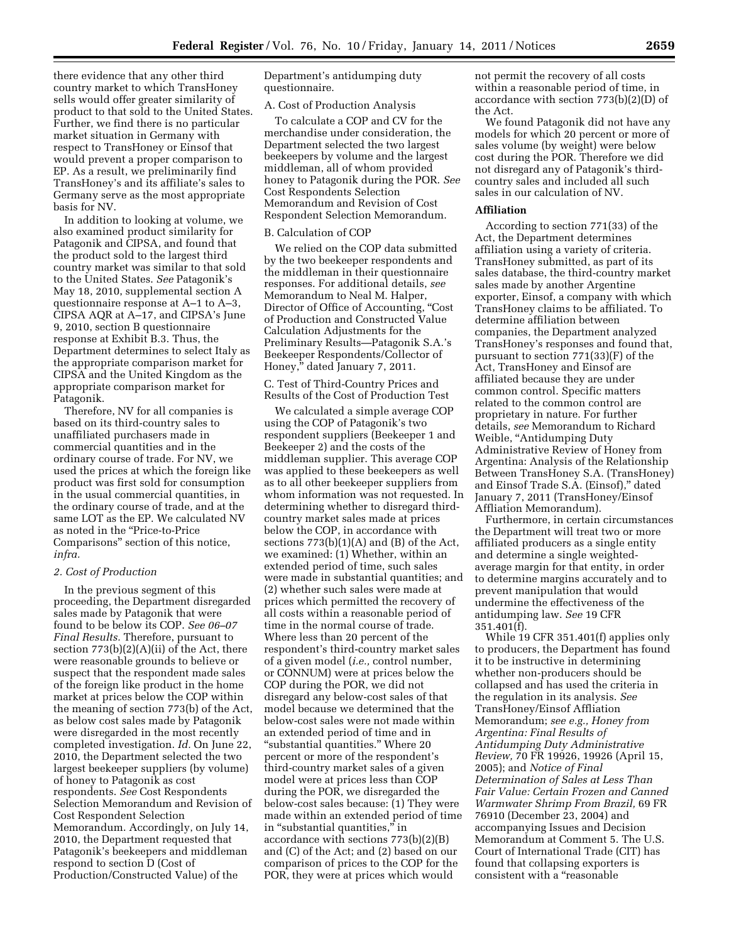there evidence that any other third country market to which TransHoney sells would offer greater similarity of product to that sold to the United States. Further, we find there is no particular market situation in Germany with respect to TransHoney or Einsof that would prevent a proper comparison to EP. As a result, we preliminarily find TransHoney's and its affiliate's sales to Germany serve as the most appropriate basis for NV.

In addition to looking at volume, we also examined product similarity for Patagonik and CIPSA, and found that the product sold to the largest third country market was similar to that sold to the United States. *See* Patagonik's May 18, 2010, supplemental section A questionnaire response at A–1 to A–3, CIPSA AQR at A–17, and CIPSA's June 9, 2010, section B questionnaire response at Exhibit B.3. Thus, the Department determines to select Italy as the appropriate comparison market for CIPSA and the United Kingdom as the appropriate comparison market for Patagonik.

Therefore, NV for all companies is based on its third-country sales to unaffiliated purchasers made in commercial quantities and in the ordinary course of trade. For NV, we used the prices at which the foreign like product was first sold for consumption in the usual commercial quantities, in the ordinary course of trade, and at the same LOT as the EP. We calculated NV as noted in the ''Price-to-Price Comparisons'' section of this notice, *infra.* 

#### *2. Cost of Production*

In the previous segment of this proceeding, the Department disregarded sales made by Patagonik that were found to be below its COP. *See 06–07 Final Results.* Therefore, pursuant to section  $773(b)(2)(A)(ii)$  of the Act, there were reasonable grounds to believe or suspect that the respondent made sales of the foreign like product in the home market at prices below the COP within the meaning of section 773(b) of the Act, as below cost sales made by Patagonik were disregarded in the most recently completed investigation. *Id.* On June 22, 2010, the Department selected the two largest beekeeper suppliers (by volume) of honey to Patagonik as cost respondents. *See* Cost Respondents Selection Memorandum and Revision of Cost Respondent Selection Memorandum. Accordingly, on July 14, 2010, the Department requested that Patagonik's beekeepers and middleman respond to section D (Cost of Production/Constructed Value) of the

Department's antidumping duty questionnaire.

# A. Cost of Production Analysis

To calculate a COP and CV for the merchandise under consideration, the Department selected the two largest beekeepers by volume and the largest middleman, all of whom provided honey to Patagonik during the POR. *See*  Cost Respondents Selection Memorandum and Revision of Cost Respondent Selection Memorandum.

#### B. Calculation of COP

We relied on the COP data submitted by the two beekeeper respondents and the middleman in their questionnaire responses. For additional details, *see*  Memorandum to Neal M. Halper, Director of Office of Accounting, "Cost of Production and Constructed Value Calculation Adjustments for the Preliminary Results—Patagonik S.A.'s Beekeeper Respondents/Collector of Honey,'' dated January 7, 2011.

C. Test of Third-Country Prices and Results of the Cost of Production Test

We calculated a simple average COP using the COP of Patagonik's two respondent suppliers (Beekeeper 1 and Beekeeper 2) and the costs of the middleman supplier. This average COP was applied to these beekeepers as well as to all other beekeeper suppliers from whom information was not requested. In determining whether to disregard thirdcountry market sales made at prices below the COP, in accordance with sections 773(b)(1)(A) and (B) of the Act, we examined: (1) Whether, within an extended period of time, such sales were made in substantial quantities; and (2) whether such sales were made at prices which permitted the recovery of all costs within a reasonable period of time in the normal course of trade. Where less than 20 percent of the respondent's third-country market sales of a given model (*i.e.,* control number, or CONNUM) were at prices below the COP during the POR, we did not disregard any below-cost sales of that model because we determined that the below-cost sales were not made within an extended period of time and in "substantial quantities." Where 20 percent or more of the respondent's third-country market sales of a given model were at prices less than COP during the POR, we disregarded the below-cost sales because: (1) They were made within an extended period of time in "substantial quantities," in accordance with sections 773(b)(2)(B) and (C) of the Act; and (2) based on our comparison of prices to the COP for the POR, they were at prices which would

not permit the recovery of all costs within a reasonable period of time, in accordance with section 773(b)(2)(D) of the Act.

We found Patagonik did not have any models for which 20 percent or more of sales volume (by weight) were below cost during the POR. Therefore we did not disregard any of Patagonik's thirdcountry sales and included all such sales in our calculation of NV.

### **Affiliation**

According to section 771(33) of the Act, the Department determines affiliation using a variety of criteria. TransHoney submitted, as part of its sales database, the third-country market sales made by another Argentine exporter, Einsof, a company with which TransHoney claims to be affiliated. To determine affiliation between companies, the Department analyzed TransHoney's responses and found that, pursuant to section 771(33)(F) of the Act, TransHoney and Einsof are affiliated because they are under common control. Specific matters related to the common control are proprietary in nature. For further details, *see* Memorandum to Richard Weible, "Antidumping Duty Administrative Review of Honey from Argentina: Analysis of the Relationship Between TransHoney S.A. (TransHoney) and Einsof Trade S.A. (Einsof),'' dated January 7, 2011 (TransHoney/Einsof Affliation Memorandum).

Furthermore, in certain circumstances the Department will treat two or more affiliated producers as a single entity and determine a single weightedaverage margin for that entity, in order to determine margins accurately and to prevent manipulation that would undermine the effectiveness of the antidumping law. *See* 19 CFR 351.401(f).

While 19 CFR 351.401(f) applies only to producers, the Department has found it to be instructive in determining whether non-producers should be collapsed and has used the criteria in the regulation in its analysis. *See*  TransHoney/Einsof Affliation Memorandum; *see e.g., Honey from Argentina: Final Results of Antidumping Duty Administrative Review,* 70 FR 19926, 19926 (April 15, 2005); and *Notice of Final Determination of Sales at Less Than Fair Value: Certain Frozen and Canned Warmwater Shrimp From Brazil,* 69 FR 76910 (December 23, 2004) and accompanying Issues and Decision Memorandum at Comment 5. The U.S. Court of International Trade (CIT) has found that collapsing exporters is consistent with a "reasonable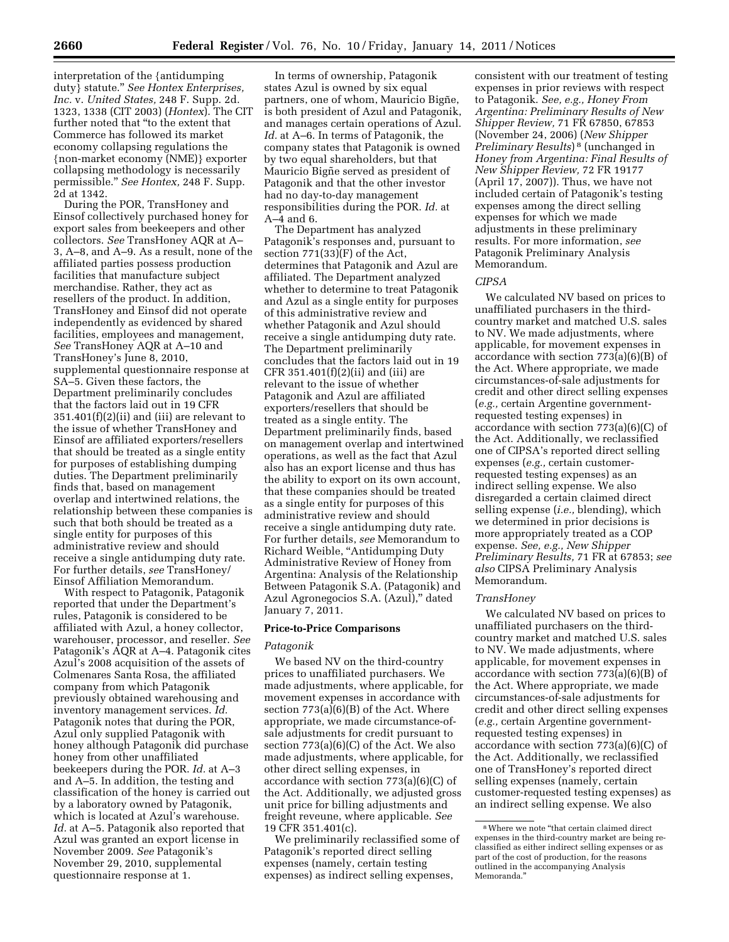interpretation of the {antidumping duty} statute.'' *See Hontex Enterprises, Inc.* v. *United States,* 248 F. Supp. 2d. 1323, 1338 (CIT 2003) (*Hontex*). The CIT further noted that ''to the extent that Commerce has followed its market economy collapsing regulations the {non-market economy (NME)} exporter collapsing methodology is necessarily permissible.'' *See Hontex,* 248 F. Supp. 2d at 1342.

During the POR, TransHoney and Einsof collectively purchased honey for export sales from beekeepers and other collectors. *See* TransHoney AQR at A– 3, A–8, and A–9. As a result, none of the affiliated parties possess production facilities that manufacture subject merchandise. Rather, they act as resellers of the product. In addition, TransHoney and Einsof did not operate independently as evidenced by shared facilities, employees and management, *See* TransHoney AQR at A–10 and TransHoney's June 8, 2010, supplemental questionnaire response at SA–5. Given these factors, the Department preliminarily concludes that the factors laid out in 19 CFR 351.401(f)(2)(ii) and (iii) are relevant to the issue of whether TransHoney and Einsof are affiliated exporters/resellers that should be treated as a single entity for purposes of establishing dumping duties. The Department preliminarily finds that, based on management overlap and intertwined relations, the relationship between these companies is such that both should be treated as a single entity for purposes of this administrative review and should receive a single antidumping duty rate. For further details, *see* TransHoney/ Einsof Affiliation Memorandum.

With respect to Patagonik, Patagonik reported that under the Department's rules, Patagonik is considered to be affiliated with Azul, a honey collector, warehouser, processor, and reseller. *See*  Patagonik's AQR at A–4. Patagonik cites Azul's 2008 acquisition of the assets of Colmenares Santa Rosa, the affiliated company from which Patagonik previously obtained warehousing and inventory management services. *Id.*  Patagonik notes that during the POR, Azul only supplied Patagonik with honey although Patagonik did purchase honey from other unaffiliated beekeepers during the POR. *Id.* at A–3 and A–5. In addition, the testing and classification of the honey is carried out by a laboratory owned by Patagonik, which is located at Azul's warehouse. *Id.* at A–5. Patagonik also reported that Azul was granted an export license in November 2009. *See* Patagonik's November 29, 2010, supplemental questionnaire response at 1.

In terms of ownership, Patagonik states Azul is owned by six equal partners, one of whom, Mauricio Bigñe, is both president of Azul and Patagonik, and manages certain operations of Azul. *Id.* at A–6. In terms of Patagonik, the company states that Patagonik is owned by two equal shareholders, but that Mauricio Bigñe served as president of Patagonik and that the other investor had no day-to-day management responsibilities during the POR. *Id.* at A–4 and 6.

The Department has analyzed Patagonik's responses and, pursuant to section 771(33)(F) of the Act, determines that Patagonik and Azul are affiliated. The Department analyzed whether to determine to treat Patagonik and Azul as a single entity for purposes of this administrative review and whether Patagonik and Azul should receive a single antidumping duty rate. The Department preliminarily concludes that the factors laid out in 19 CFR 351.401 $(f)(2)(ii)$  and  $(iii)$  are relevant to the issue of whether Patagonik and Azul are affiliated exporters/resellers that should be treated as a single entity. The Department preliminarily finds, based on management overlap and intertwined operations, as well as the fact that Azul also has an export license and thus has the ability to export on its own account, that these companies should be treated as a single entity for purposes of this administrative review and should receive a single antidumping duty rate. For further details, *see* Memorandum to Richard Weible, ''Antidumping Duty Administrative Review of Honey from Argentina: Analysis of the Relationship Between Patagonik S.A. (Patagonik) and Azul Agronegocios S.A. (Azul),'' dated January 7, 2011.

## **Price-to-Price Comparisons**

### *Patagonik*

We based NV on the third-country prices to unaffiliated purchasers. We made adjustments, where applicable, for movement expenses in accordance with section 773(a)(6)(B) of the Act. Where appropriate, we made circumstance-ofsale adjustments for credit pursuant to section 773(a)(6)(C) of the Act. We also made adjustments, where applicable, for other direct selling expenses, in accordance with section 773(a)(6)(C) of the Act. Additionally, we adjusted gross unit price for billing adjustments and freight reveune, where applicable. *See*  19 CFR 351.401(c).

We preliminarily reclassified some of Patagonik's reported direct selling expenses (namely, certain testing expenses) as indirect selling expenses,

consistent with our treatment of testing expenses in prior reviews with respect to Patagonik. *See, e.g., Honey From Argentina: Preliminary Results of New Shipper Review,* 71 FR 67850, 67853 (November 24, 2006) (*New Shipper Preliminary Results*) 8 (unchanged in *Honey from Argentina: Final Results of New Shipper Review,* 72 FR 19177 (April 17, 2007)). Thus, we have not included certain of Patagonik's testing expenses among the direct selling expenses for which we made adjustments in these preliminary results. For more information, *see*  Patagonik Preliminary Analysis Memorandum.

#### *CIPSA*

We calculated NV based on prices to unaffiliated purchasers in the thirdcountry market and matched U.S. sales to NV. We made adjustments, where applicable, for movement expenses in accordance with section 773(a)(6)(B) of the Act. Where appropriate, we made circumstances-of-sale adjustments for credit and other direct selling expenses (*e.g.,* certain Argentine governmentrequested testing expenses) in accordance with section 773(a)(6)(C) of the Act. Additionally, we reclassified one of CIPSA's reported direct selling expenses (*e.g.,* certain customerrequested testing expenses) as an indirect selling expense. We also disregarded a certain claimed direct selling expense (*i.e.,* blending), which we determined in prior decisions is more appropriately treated as a COP expense. *See, e.g., New Shipper Preliminary Results,* 71 FR at 67853; *see also* CIPSA Preliminary Analysis Memorandum.

#### *TransHoney*

We calculated NV based on prices to unaffiliated purchasers on the thirdcountry market and matched U.S. sales to NV. We made adjustments, where applicable, for movement expenses in accordance with section 773(a)(6)(B) of the Act. Where appropriate, we made circumstances-of-sale adjustments for credit and other direct selling expenses (*e.g.,* certain Argentine governmentrequested testing expenses) in accordance with section 773(a)(6)(C) of the Act. Additionally, we reclassified one of TransHoney's reported direct selling expenses (namely, certain customer-requested testing expenses) as an indirect selling expense. We also

<sup>&</sup>lt;sup>8</sup> Where we note "that certain claimed direct expenses in the third-country market are being reclassified as either indirect selling expenses or as part of the cost of production, for the reasons outlined in the accompanying Analysis Memoranda.''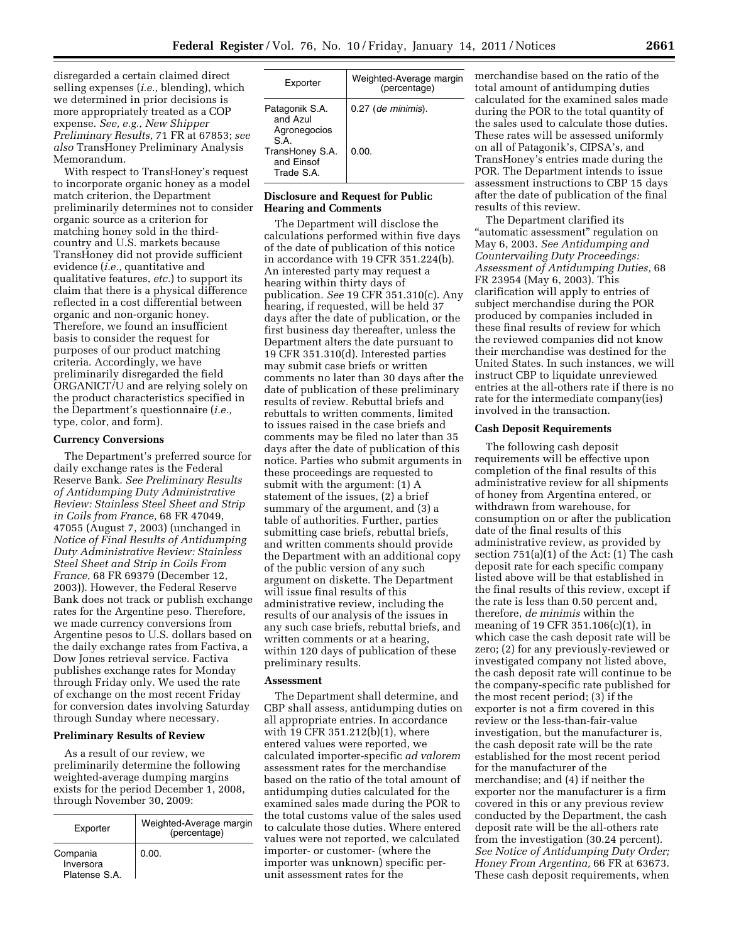disregarded a certain claimed direct selling expenses (*i.e.,* blending), which we determined in prior decisions is more appropriately treated as a COP expense. *See, e.g., New Shipper Preliminary Results,* 71 FR at 67853; *see also* TransHoney Preliminary Analysis Memorandum.

With respect to TransHoney's request to incorporate organic honey as a model match criterion, the Department preliminarily determines not to consider organic source as a criterion for matching honey sold in the thirdcountry and U.S. markets because TransHoney did not provide sufficient evidence (*i.e.,* quantitative and qualitative features, *etc.*) to support its claim that there is a physical difference reflected in a cost differential between organic and non-organic honey. Therefore, we found an insufficient basis to consider the request for purposes of our product matching criteria. Accordingly, we have preliminarily disregarded the field ORGANICT/U and are relying solely on the product characteristics specified in the Department's questionnaire (*i.e.,*  type, color, and form).

#### **Currency Conversions**

The Department's preferred source for daily exchange rates is the Federal Reserve Bank. *See Preliminary Results of Antidumping Duty Administrative Review: Stainless Steel Sheet and Strip in Coils from France,* 68 FR 47049, 47055 (August 7, 2003) (unchanged in *Notice of Final Results of Antidumping Duty Administrative Review: Stainless Steel Sheet and Strip in Coils From France,* 68 FR 69379 (December 12, 2003)). However, the Federal Reserve Bank does not track or publish exchange rates for the Argentine peso. Therefore, we made currency conversions from Argentine pesos to U.S. dollars based on the daily exchange rates from Factiva, a Dow Jones retrieval service. Factiva publishes exchange rates for Monday through Friday only. We used the rate of exchange on the most recent Friday for conversion dates involving Saturday through Sunday where necessary.

#### **Preliminary Results of Review**

As a result of our review, we preliminarily determine the following weighted-average dumping margins exists for the period December 1, 2008, through November 30, 2009:

| Exporter                               | Weighted-Average margin<br>(percentage) |
|----------------------------------------|-----------------------------------------|
| Compania<br>Inversora<br>Platense S.A. | 0.00.                                   |

| Exporter                                                                                         | Weighted-Average margin<br>(percentage) |
|--------------------------------------------------------------------------------------------------|-----------------------------------------|
| Patagonik S.A.<br>and Azul<br>Agronegocios<br>S A<br>TransHoney S.A.<br>and Einsof<br>Trade S.A. | 0.27 (de minimis).<br>0.00.             |

### **Disclosure and Request for Public Hearing and Comments**

The Department will disclose the calculations performed within five days of the date of publication of this notice in accordance with 19 CFR 351.224(b). An interested party may request a hearing within thirty days of publication. *See* 19 CFR 351.310(c). Any hearing, if requested, will be held 37 days after the date of publication, or the first business day thereafter, unless the Department alters the date pursuant to 19 CFR 351.310(d). Interested parties may submit case briefs or written comments no later than 30 days after the date of publication of these preliminary results of review. Rebuttal briefs and rebuttals to written comments, limited to issues raised in the case briefs and comments may be filed no later than 35 days after the date of publication of this notice. Parties who submit arguments in these proceedings are requested to submit with the argument: (1) A statement of the issues, (2) a brief summary of the argument, and (3) a table of authorities. Further, parties submitting case briefs, rebuttal briefs, and written comments should provide the Department with an additional copy of the public version of any such argument on diskette. The Department will issue final results of this administrative review, including the results of our analysis of the issues in any such case briefs, rebuttal briefs, and written comments or at a hearing, within 120 days of publication of these preliminary results.

# **Assessment**

The Department shall determine, and CBP shall assess, antidumping duties on all appropriate entries. In accordance with 19 CFR 351.212(b)(1), where entered values were reported, we calculated importer-specific *ad valorem*  assessment rates for the merchandise based on the ratio of the total amount of antidumping duties calculated for the examined sales made during the POR to the total customs value of the sales used to calculate those duties. Where entered values were not reported, we calculated importer- or customer- (where the importer was unknown) specific perunit assessment rates for the

merchandise based on the ratio of the total amount of antidumping duties calculated for the examined sales made during the POR to the total quantity of the sales used to calculate those duties. These rates will be assessed uniformly on all of Patagonik's, CIPSA's, and TransHoney's entries made during the POR. The Department intends to issue assessment instructions to CBP 15 days after the date of publication of the final results of this review.

The Department clarified its ''automatic assessment'' regulation on May 6, 2003. *See Antidumping and Countervailing Duty Proceedings: Assessment of Antidumping Duties,* 68 FR 23954 (May 6, 2003). This clarification will apply to entries of subject merchandise during the POR produced by companies included in these final results of review for which the reviewed companies did not know their merchandise was destined for the United States. In such instances, we will instruct CBP to liquidate unreviewed entries at the all-others rate if there is no rate for the intermediate company(ies) involved in the transaction.

## **Cash Deposit Requirements**

The following cash deposit requirements will be effective upon completion of the final results of this administrative review for all shipments of honey from Argentina entered, or withdrawn from warehouse, for consumption on or after the publication date of the final results of this administrative review, as provided by section 751(a)(1) of the Act: (1) The cash deposit rate for each specific company listed above will be that established in the final results of this review, except if the rate is less than 0.50 percent and, therefore, *de minimis* within the meaning of 19 CFR 351.106(c)(1), in which case the cash deposit rate will be zero; (2) for any previously-reviewed or investigated company not listed above, the cash deposit rate will continue to be the company-specific rate published for the most recent period; (3) if the exporter is not a firm covered in this review or the less-than-fair-value investigation, but the manufacturer is, the cash deposit rate will be the rate established for the most recent period for the manufacturer of the merchandise; and (4) if neither the exporter nor the manufacturer is a firm covered in this or any previous review conducted by the Department, the cash deposit rate will be the all-others rate from the investigation (30.24 percent). *See Notice of Antidumping Duty Order; Honey From Argentina,* 66 FR at 63673. These cash deposit requirements, when